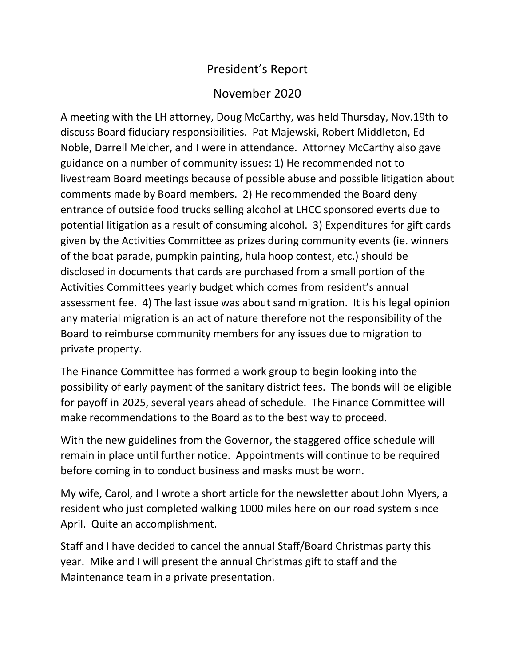## President's Report

## November 2020

A meeting with the LH attorney, Doug McCarthy, was held Thursday, Nov.19th to discuss Board fiduciary responsibilities. Pat Majewski, Robert Middleton, Ed Noble, Darrell Melcher, and I were in attendance. Attorney McCarthy also gave guidance on a number of community issues: 1) He recommended not to livestream Board meetings because of possible abuse and possible litigation about comments made by Board members. 2) He recommended the Board deny entrance of outside food trucks selling alcohol at LHCC sponsored everts due to potential litigation as a result of consuming alcohol. 3) Expenditures for gift cards given by the Activities Committee as prizes during community events (ie. winners of the boat parade, pumpkin painting, hula hoop contest, etc.) should be disclosed in documents that cards are purchased from a small portion of the Activities Committees yearly budget which comes from resident's annual assessment fee. 4) The last issue was about sand migration. It is his legal opinion any material migration is an act of nature therefore not the responsibility of the Board to reimburse community members for any issues due to migration to private property.

The Finance Committee has formed a work group to begin looking into the possibility of early payment of the sanitary district fees. The bonds will be eligible for payoff in 2025, several years ahead of schedule. The Finance Committee will make recommendations to the Board as to the best way to proceed.

With the new guidelines from the Governor, the staggered office schedule will remain in place until further notice. Appointments will continue to be required before coming in to conduct business and masks must be worn.

My wife, Carol, and I wrote a short article for the newsletter about John Myers, a resident who just completed walking 1000 miles here on our road system since April. Quite an accomplishment.

Staff and I have decided to cancel the annual Staff/Board Christmas party this year. Mike and I will present the annual Christmas gift to staff and the Maintenance team in a private presentation.